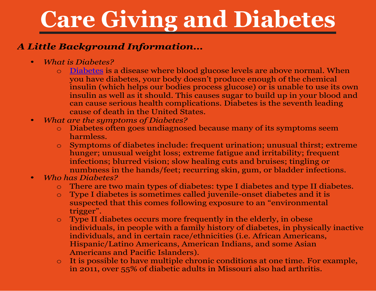#### *A Little Background Information…*

- *What is Diabetes?* 
	- o [Diabetes](http://www.diabetes.org/living-with-diabetes/?loc=GlobalNavLWD) is a disease where blood glucose levels are above normal. When you have diabetes, your body doesn't produce enough of the chemical insulin (which helps our bodies process glucose) or is unable to use its own insulin as well as it should. This causes sugar to build up in your blood and can cause serious health complications. Diabetes is the seventh leading cause of death in the United States.
- *What are the symptoms of Diabetes?* 
	- o Diabetes often goes undiagnosed because many of its symptoms seem harmless.
	- o Symptoms of diabetes include: frequent urination; unusual thirst; extreme hunger; unusual weight loss; extreme fatigue and irritability; frequent infections; blurred vision; slow healing cuts and bruises; tingling or numbness in the hands/feet; recurring skin, gum, or bladder infections.
- *Who has Diabetes?* 
	- o There are two main types of diabetes: type I diabetes and type II diabetes.
	- o Type I diabetes is sometimes called juvenile-onset diabetes and it is suspected that this comes following exposure to an "environmental trigger".
	- o Type II diabetes occurs more frequently in the elderly, in obese individuals, in people with a family history of diabetes, in physically inactive individuals, and in certain race/ethnicities (i.e. African Americans, Hispanic/Latino Americans, American Indians, and some Asian Americans and Pacific Islanders).
	- o It is possible to have multiple chronic conditions at one time. For example, in 2011, over 55% of diabetic adults in Missouri also had arthritis.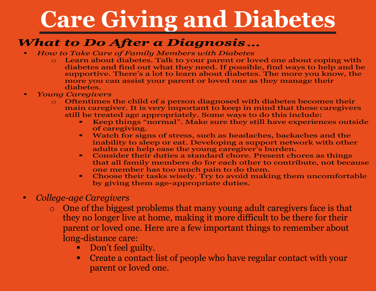#### *What to Do After a Diagnosis…* • *How to Take Care of Family Members with Diabetes*

- - o Learn about diabetes. Talk to your parent or loved one about coping with diabetes and find out what they need. If possible, find ways to help and be supportive. There's a lot to learn about diabetes. The more you know, the more you can assist your parent or loved one as they manage their diabetes.
- *Young Caregivers*
	- o Oftentimes the child of a person diagnosed with diabetes becomes their main caregiver. It is very important to keep in mind that these caregivers still be treated age appropriately. Some ways to do this include:
		- Keep things "normal". Make sure they still have experiences outside of caregiving.
		- **Watch for signs of stress, such as headaches, backaches and the** inability to sleep or eat. Developing a support network with other adults can help ease the young caregiver's burden.
		- Consider their duties a standard chore. Present chores as things that all family members do for each other to contribute, not because one member has too much pain to do them.
		- Choose their tasks wisely. Try to avoid making them uncomfortable by giving them age-appropriate duties.
- *College-age Caregivers*
	- o One of the biggest problems that many young adult caregivers face is that they no longer live at home, making it more difficult to be there for their parent or loved one. Here are a few important things to remember about long-distance care:
		- Don't feel guilty.
		- Create a contact list of people who have regular contact with your parent or loved one.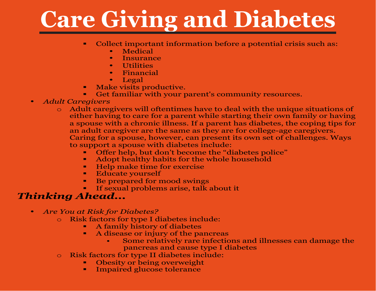- Collect important information before a potential crisis such as:
	- Medical
	- Insurance
	- Utilities
	- Financial
	- Legal
- Make visits productive.
- Get familiar with your parent's community resources.
- *Adult Caregivers*
	- o Adult caregivers will oftentimes have to deal with the unique situations of either having to care for a parent while starting their own family or having a spouse with a chronic illness. If a parent has diabetes, the coping tips for an adult caregiver are the same as they are for college-age caregivers. Caring for a spouse, however, can present its own set of challenges. Ways to support a spouse with diabetes include:
		- Offer help, but don't become the "diabetes police"
		- Adopt healthy habits for the whole household
		- Help make time for exercise
		- **Educate yourself**
		- Be prepared for mood swings
		- If sexual problems arise, talk about it

#### *Thinking Ahead...*

- *Are You at Risk for Diabetes?*
	- o Risk factors for type I diabetes include:
		- A family history of diabetes
		- A disease or injury of the pancreas
			- Some relatively rare infections and illnesses can damage the pancreas and cause type I diabetes
	- o Risk factors for type II diabetes include:
		- Obesity or being overweight
		- **Impaired glucose tolerance**